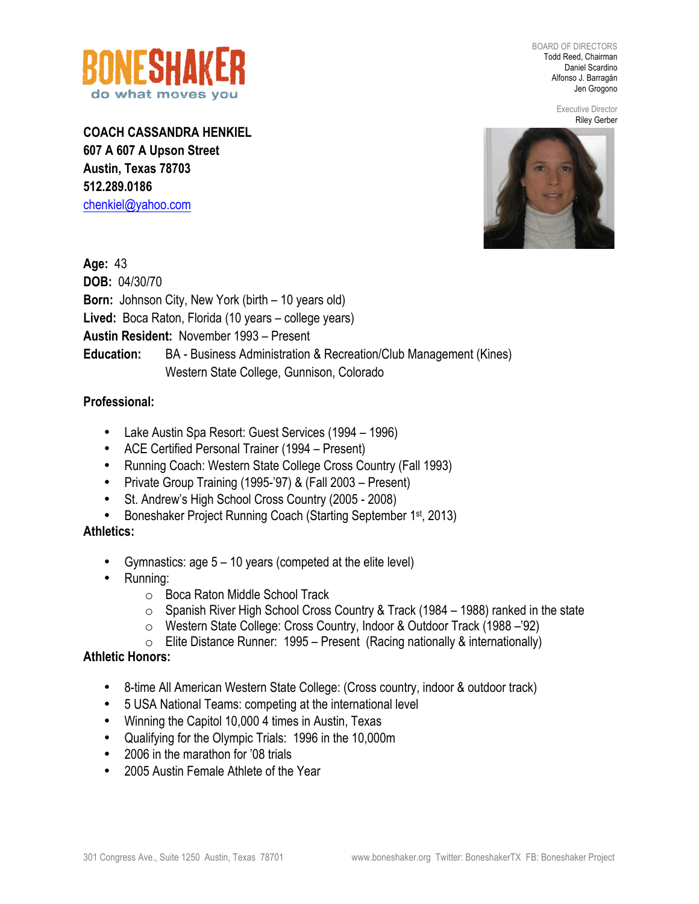

BOARD OF DIRECTORS Todd Reed, Chairman Daniel Scardino Alfonso J. Barragán Jen Grogono

> Executive Director Riley Gerber

**COACH CASSANDRA HENKIEL 607 A 607 A Upson Street Austin, Texas 78703 512.289.0186** chenkiel@yahoo.com



**Age:** 43 **DOB:** 04/30/70 **Born:** Johnson City, New York (birth – 10 years old) **Lived:** Boca Raton, Florida (10 years – college years) **Austin Resident:** November 1993 – Present **Education:** BA - Business Administration & Recreation/Club Management (Kines) Western State College, Gunnison, Colorado

## **Professional:**

- Lake Austin Spa Resort: Guest Services (1994 1996)
- ACE Certified Personal Trainer (1994 Present)
- Running Coach: Western State College Cross Country (Fall 1993)
- Private Group Training (1995-'97) & (Fall 2003 Present)
- St. Andrew's High School Cross Country (2005 2008)
- Boneshaker Project Running Coach (Starting September 1<sup>st</sup>, 2013)

## **Athletics:**

- Gymnastics: age 5 10 years (competed at the elite level)
- Running:
	- o Boca Raton Middle School Track
	- o Spanish River High School Cross Country & Track (1984 1988) ranked in the state
	- o Western State College: Cross Country, Indoor & Outdoor Track (1988 –'92)
	- $\circ$  Elite Distance Runner: 1995 Present (Racing nationally & internationally)

## **Athletic Honors:**

- 8-time All American Western State College: (Cross country, indoor & outdoor track)
- 5 USA National Teams: competing at the international level
- Winning the Capitol 10,000 4 times in Austin, Texas
- Qualifying for the Olympic Trials: 1996 in the 10,000m
- 2006 in the marathon for '08 trials
- 2005 Austin Female Athlete of the Year